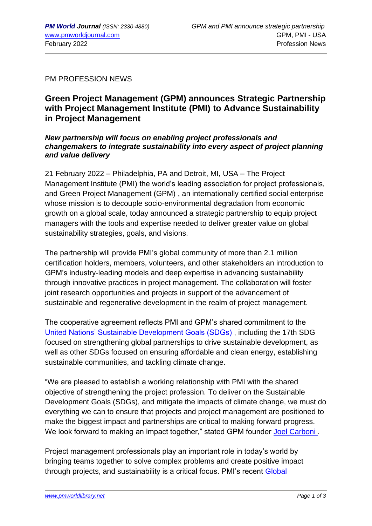PM PROFESSION NEWS

## **Green Project Management (GPM) announces Strategic Partnership with Project Management Institute (PMI) to Advance Sustainability in Project Management**

*New partnership will focus on enabling project professionals and changemakers to integrate sustainability into every aspect of project planning and value delivery*

21 February 2022 – Philadelphia, PA and Detroit, MI, USA – The Project Management Institute (PMI) the world's leading association for project professionals, and Green Project Management (GPM) , an internationally certified social enterprise whose mission is to decouple socio-environmental degradation from economic growth on a global scale, today announced a strategic partnership to equip project managers with the tools and expertise needed to deliver greater value on global sustainability strategies, goals, and visions.

The partnership will provide PMI's global community of more than 2.1 million certification holders, members, volunteers, and other stakeholders an introduction to GPM's industry-leading models and deep expertise in advancing sustainability through innovative practices in project management. The collaboration will foster joint research opportunities and projects in support of the advancement of sustainable and regenerative development in the realm of project management.

The cooperative agreement reflects PMI and GPM's shared commitment to the [United Nations' Sustainable Development Goals \(SDGs\) ,](https://greenprojectmanagement.us3.list-manage.com/track/click?u=66d1da369fb4e30ac415ada74&id=fa2f4bd8e8&e=cb51cd20b9) including the 17th SDG focused on strengthening global partnerships to drive sustainable development, as well as other SDGs focused on ensuring affordable and clean energy, establishing sustainable communities, and tackling climate change.

"We are pleased to establish a working relationship with PMI with the shared objective of strengthening the project profession. To deliver on the Sustainable Development Goals (SDGs), and mitigate the impacts of climate change, we must do everything we can to ensure that projects and project management are positioned to make the biggest impact and partnerships are critical to making forward progress. We look forward to making an impact together," stated GPM founder Joel Carboni.

Project management professionals play an important role in today's world by bringing teams together to solve complex problems and create positive impact through projects, and sustainability is a critical focus. PMI's recent [Global](https://greenprojectmanagement.us3.list-manage.com/track/click?u=66d1da369fb4e30ac415ada74&id=06ff0d37f1&e=cb51cd20b9)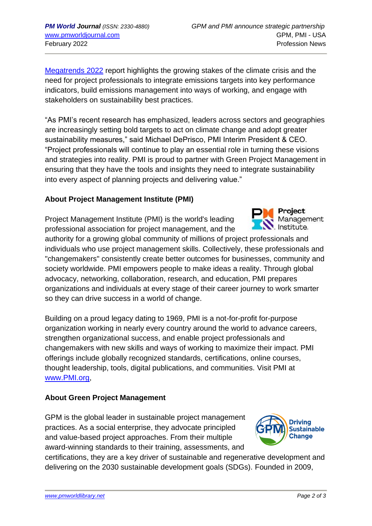[Megatrends 2022](https://greenprojectmanagement.us3.list-manage.com/track/click?u=66d1da369fb4e30ac415ada74&id=06ff0d37f1&e=cb51cd20b9) report highlights the growing stakes of the climate crisis and the need for project professionals to integrate emissions targets into key performance indicators, build emissions management into ways of working, and engage with stakeholders on sustainability best practices.

"As PMI's recent research has emphasized, leaders across sectors and geographies are increasingly setting bold targets to act on climate change and adopt greater sustainability measures," said Michael DePrisco, PMI Interim President & CEO. "Project professionals will continue to play an essential role in turning these visions and strategies into reality. PMI is proud to partner with Green Project Management in ensuring that they have the tools and insights they need to integrate sustainability into every aspect of planning projects and delivering value."

## **About Project Management Institute (PMI)**

Project Management Institute (PMI) is the world's leading professional association for project management, and the

authority for a growing global community of millions of project professionals and individuals who use project management skills. Collectively, these professionals and "changemakers" consistently create better outcomes for businesses, community and society worldwide. PMI empowers people to make ideas a reality. Through global advocacy, networking, collaboration, research, and education, PMI prepares organizations and individuals at every stage of their career journey to work smarter so they can drive success in a world of change.

Building on a proud legacy dating to 1969, PMI is a not-for-profit for-purpose organization working in nearly every country around the world to advance careers, strengthen organizational success, and enable project professionals and changemakers with new skills and ways of working to maximize their impact. PMI offerings include globally recognized standards, certifications, online courses, thought leadership, tools, digital publications, and communities. Visit PMI at [www.PMI.org,](https://greenprojectmanagement.us3.list-manage.com/track/click?u=66d1da369fb4e30ac415ada74&id=d4b2a2cb2a&e=cb51cd20b9)

## **About Green Project Management**

GPM is the global leader in sustainable project management practices. As a social enterprise, they advocate principled and value-based project approaches. From their multiple award-winning standards to their training, assessments, and

certifications, they are a key driver of sustainable and regenerative development and delivering on the 2030 sustainable development goals (SDGs). Founded in 2009,